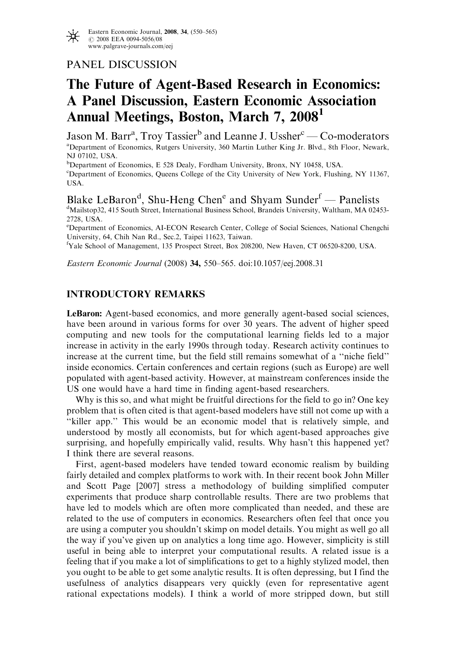

# PANEL DISCUSSION

# The Future of Agent-Based Research in Economics: A Panel Discussion, Eastern Economic Association Annual Meetings, Boston, March 7, 2008<sup>1</sup>

Jason M. Barr<sup>a</sup>, Troy Tassier<sup>b</sup> and Leanne J. Ussher<sup>c</sup> — Co-moderators <sup>a</sup>Department of Economics, Rutgers University, 360 Martin Luther King Jr. Blvd., 8th Floor, Newark, NJ 07102, USA.

b Department of Economics, E 528 Dealy, Fordham University, Bronx, NY 10458, USA.

c Department of Economics, Queens College of the City University of New York, Flushing, NY 11367, USA.

Blake LeBaron<sup>d</sup>, Shu-Heng Chen<sup>e</sup> and Shyam Sunder<sup>f</sup> — Panelists declines 22, 415 South Street, International Business School, Bundais University, Waltham MA 024 <sup>d</sup>Mailstop32, 415 South Street, International Business School, Brandeis University, Waltham, MA 02453-2728, USA.

e Department of Economics, AI-ECON Research Center, College of Social Sciences, National Chengchi University, 64, Chih Nan Rd., Sec.2, Taipei 11623, Taiwan.

<sup>f</sup>Yale School of Management, 135 Prospect Street, Box 208200, New Haven, CT 06520-8200, USA.

Eastern Economic Journal (2008) 34, 550–565. doi:10.1057/eej.2008.31

# INTRODUCTORY REMARKS

LeBaron: Agent-based economics, and more generally agent-based social sciences, have been around in various forms for over 30 years. The advent of higher speed computing and new tools for the computational learning fields led to a major increase in activity in the early 1990s through today. Research activity continues to increase at the current time, but the field still remains somewhat of a ''niche field'' inside economics. Certain conferences and certain regions (such as Europe) are well populated with agent-based activity. However, at mainstream conferences inside the US one would have a hard time in finding agent-based researchers.

Why is this so, and what might be fruitful directions for the field to go in? One key problem that is often cited is that agent-based modelers have still not come up with a ''killer app.'' This would be an economic model that is relatively simple, and understood by mostly all economists, but for which agent-based approaches give surprising, and hopefully empirically valid, results. Why hasn't this happened yet? I think there are several reasons.

First, agent-based modelers have tended toward economic realism by building fairly detailed and complex platforms to work with. In their recent book John Miller and Scott Page [2007] stress a methodology of building simplified computer experiments that produce sharp controllable results. There are two problems that have led to models which are often more complicated than needed, and these are related to the use of computers in economics. Researchers often feel that once you are using a computer you shouldn't skimp on model details. You might as well go all the way if you've given up on analytics a long time ago. However, simplicity is still useful in being able to interpret your computational results. A related issue is a feeling that if you make a lot of simplifications to get to a highly stylized model, then you ought to be able to get some analytic results. It is often depressing, but I find the usefulness of analytics disappears very quickly (even for representative agent rational expectations models). I think a world of more stripped down, but still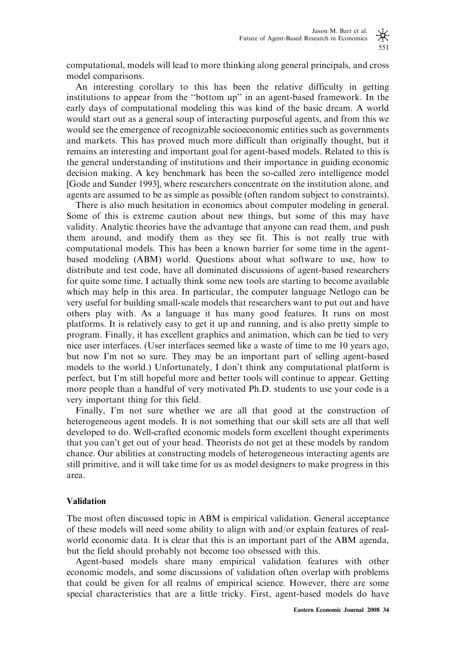computational, models will lead to more thinking along general principals, and cross model comparisons.

An interesting corollary to this has been the relative difficulty in getting institutions to appear from the ''bottom up'' in an agent-based framework. In the early days of computational modeling this was kind of the basic dream. A world would start out as a general soup of interacting purposeful agents, and from this we would see the emergence of recognizable socioeconomic entities such as governments and markets. This has proved much more difficult than originally thought, but it remains an interesting and important goal for agent-based models. Related to this is the general understanding of institutions and their importance in guiding economic decision making. A key benchmark has been the so-called zero intelligence model [Gode and Sunder 1993], where researchers concentrate on the institution alone, and agents are assumed to be as simple as possible (often random subject to constraints).

There is also much hesitation in economics about computer modeling in general. Some of this is extreme caution about new things, but some of this may have validity. Analytic theories have the advantage that anyone can read them, and push them around, and modify them as they see fit. This is not really true with computational models. This has been a known barrier for some time in the agentbased modeling (ABM) world. Questions about what software to use, how to distribute and test code, have all dominated discussions of agent-based researchers for quite some time. I actually think some new tools are starting to become available which may help in this area. In particular, the computer language Netlogo can be very useful for building small-scale models that researchers want to put out and have others play with. As a language it has many good features. It runs on most platforms. It is relatively easy to get it up and running, and is also pretty simple to program. Finally, it has excellent graphics and animation, which can be tied to very nice user interfaces. (User interfaces seemed like a waste of time to me 10 years ago, but now I'm not so sure. They may be an important part of selling agent-based models to the world.) Unfortunately, I don't think any computational platform is perfect, but I'm still hopeful more and better tools will continue to appear. Getting more people than a handful of very motivated Ph.D. students to use your code is a very important thing for this field.

Finally, I'm not sure whether we are all that good at the construction of heterogeneous agent models. It is not something that our skill sets are all that well developed to do. Well-crafted economic models form excellent thought experiments that you can't get out of your head. Theorists do not get at these models by random chance. Our abilities at constructing models of heterogeneous interacting agents are still primitive, and it will take time for us as model designers to make progress in this area.

#### Validation

The most often discussed topic in ABM is empirical validation. General acceptance of these models will need some ability to align with and/or explain features of realworld economic data. It is clear that this is an important part of the ABM agenda, but the field should probably not become too obsessed with this.

Agent-based models share many empirical validation features with other economic models, and some discussions of validation often overlap with problems that could be given for all realms of empirical science. However, there are some special characteristics that are a little tricky. First, agent-based models do have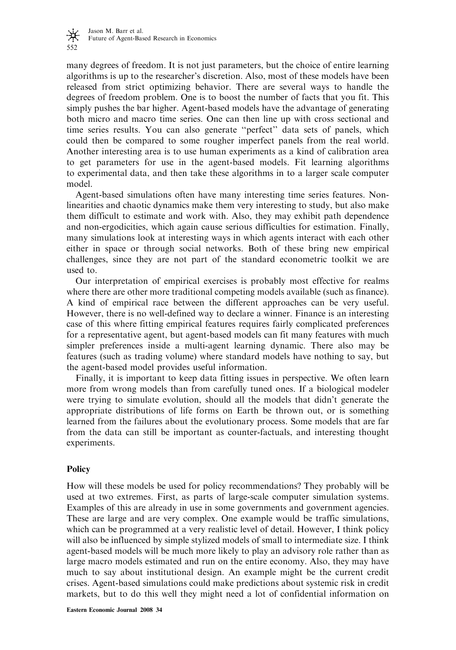

many degrees of freedom. It is not just parameters, but the choice of entire learning algorithms is up to the researcher's discretion. Also, most of these models have been released from strict optimizing behavior. There are several ways to handle the degrees of freedom problem. One is to boost the number of facts that you fit. This simply pushes the bar higher. Agent-based models have the advantage of generating both micro and macro time series. One can then line up with cross sectional and time series results. You can also generate ''perfect'' data sets of panels, which could then be compared to some rougher imperfect panels from the real world. Another interesting area is to use human experiments as a kind of calibration area to get parameters for use in the agent-based models. Fit learning algorithms to experimental data, and then take these algorithms in to a larger scale computer model.

Agent-based simulations often have many interesting time series features. Nonlinearities and chaotic dynamics make them very interesting to study, but also make them difficult to estimate and work with. Also, they may exhibit path dependence and non-ergodicities, which again cause serious difficulties for estimation. Finally, many simulations look at interesting ways in which agents interact with each other either in space or through social networks. Both of these bring new empirical challenges, since they are not part of the standard econometric toolkit we are used to.

Our interpretation of empirical exercises is probably most effective for realms where there are other more traditional competing models available (such as finance). A kind of empirical race between the different approaches can be very useful. However, there is no well-defined way to declare a winner. Finance is an interesting case of this where fitting empirical features requires fairly complicated preferences for a representative agent, but agent-based models can fit many features with much simpler preferences inside a multi-agent learning dynamic. There also may be features (such as trading volume) where standard models have nothing to say, but the agent-based model provides useful information.

Finally, it is important to keep data fitting issues in perspective. We often learn more from wrong models than from carefully tuned ones. If a biological modeler were trying to simulate evolution, should all the models that didn't generate the appropriate distributions of life forms on Earth be thrown out, or is something learned from the failures about the evolutionary process. Some models that are far from the data can still be important as counter-factuals, and interesting thought experiments.

#### **Policy**

How will these models be used for policy recommendations? They probably will be used at two extremes. First, as parts of large-scale computer simulation systems. Examples of this are already in use in some governments and government agencies. These are large and are very complex. One example would be traffic simulations, which can be programmed at a very realistic level of detail. However, I think policy will also be influenced by simple stylized models of small to intermediate size. I think agent-based models will be much more likely to play an advisory role rather than as large macro models estimated and run on the entire economy. Also, they may have much to say about institutional design. An example might be the current credit crises. Agent-based simulations could make predictions about systemic risk in credit markets, but to do this well they might need a lot of confidential information on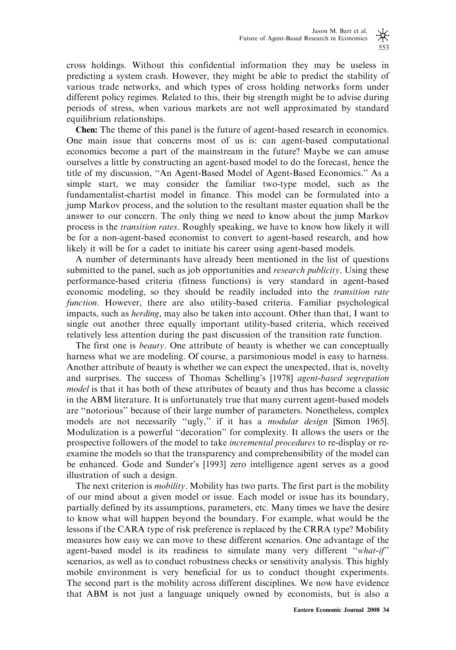cross holdings. Without this confidential information they may be useless in predicting a system crash. However, they might be able to predict the stability of various trade networks, and which types of cross holding networks form under different policy regimes. Related to this, their big strength might be to advise during periods of stress, when various markets are not well approximated by standard equilibrium relationships.

Chen: The theme of this panel is the future of agent-based research in economics. One main issue that concerns most of us is: can agent-based computational economics become a part of the mainstream in the future? Maybe we can amuse ourselves a little by constructing an agent-based model to do the forecast, hence the title of my discussion, ''An Agent-Based Model of Agent-Based Economics.'' As a simple start, we may consider the familiar two-type model, such as the fundamentalist-chartist model in finance. This model can be formulated into a jump Markov process, and the solution to the resultant master equation shall be the answer to our concern. The only thing we need to know about the jump Markov process is the transition rates. Roughly speaking, we have to know how likely it will be for a non-agent-based economist to convert to agent-based research, and how likely it will be for a cadet to initiate his career using agent-based models.

A number of determinants have already been mentioned in the list of questions submitted to the panel, such as job opportunities and *research publicity*. Using these performance-based criteria (fitness functions) is very standard in agent-based economic modeling, so they should be readily included into the *transition rate* function. However, there are also utility-based criteria. Familiar psychological impacts, such as herding, may also be taken into account. Other than that, I want to single out another three equally important utility-based criteria, which received relatively less attention during the past discussion of the transition rate function.

The first one is *beauty*. One attribute of beauty is whether we can conceptually harness what we are modeling. Of course, a parsimonious model is easy to harness. Another attribute of beauty is whether we can expect the unexpected, that is, novelty and surprises. The success of Thomas Schelling's [1978] agent-based segregation model is that it has both of these attributes of beauty and thus has become a classic in the ABM literature. It is unfortunately true that many current agent-based models are ''notorious'' because of their large number of parameters. Nonetheless, complex models are not necessarily "ugly," if it has a *modular design* [Simon 1965]. Modulization is a powerful ''decoration'' for complexity. It allows the users or the prospective followers of the model to take incremental procedures to re-display or reexamine the models so that the transparency and comprehensibility of the model can be enhanced. Gode and Sunder's [1993] zero intelligence agent serves as a good illustration of such a design.

The next criterion is *mobility*. Mobility has two parts. The first part is the mobility of our mind about a given model or issue. Each model or issue has its boundary, partially defined by its assumptions, parameters, etc. Many times we have the desire to know what will happen beyond the boundary. For example, what would be the lessons if the CARA type of risk preference is replaced by the CRRA type? Mobility measures how easy we can move to these different scenarios. One advantage of the agent-based model is its readiness to simulate many very different "what-if" scenarios, as well as to conduct robustness checks or sensitivity analysis. This highly mobile environment is very beneficial for us to conduct thought experiments. The second part is the mobility across different disciplines. We now have evidence that ABM is not just a language uniquely owned by economists, but is also a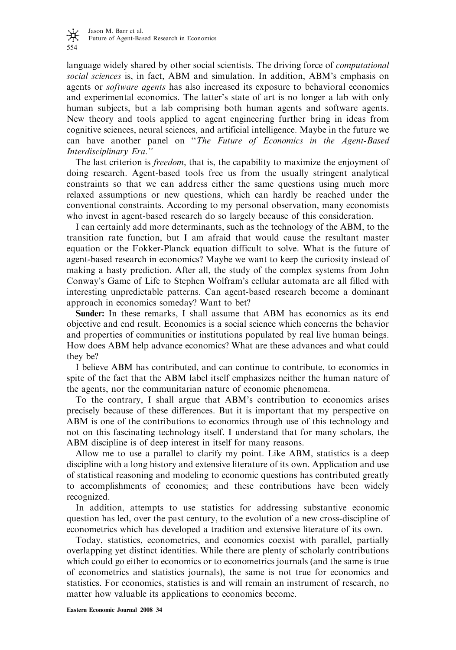

language widely shared by other social scientists. The driving force of *computational* social sciences is, in fact, ABM and simulation. In addition, ABM's emphasis on agents or *software agents* has also increased its exposure to behavioral economics and experimental economics. The latter's state of art is no longer a lab with only human subjects, but a lab comprising both human agents and software agents. New theory and tools applied to agent engineering further bring in ideas from cognitive sciences, neural sciences, and artificial intelligence. Maybe in the future we can have another panel on ''The Future of Economics in the Agent-Based Interdisciplinary Era.''

The last criterion is *freedom*, that is, the capability to maximize the enjoyment of doing research. Agent-based tools free us from the usually stringent analytical constraints so that we can address either the same questions using much more relaxed assumptions or new questions, which can hardly be reached under the conventional constraints. According to my personal observation, many economists who invest in agent-based research do so largely because of this consideration.

I can certainly add more determinants, such as the technology of the ABM, to the transition rate function, but I am afraid that would cause the resultant master equation or the Fokker-Planck equation difficult to solve. What is the future of agent-based research in economics? Maybe we want to keep the curiosity instead of making a hasty prediction. After all, the study of the complex systems from John Conway's Game of Life to Stephen Wolfram's cellular automata are all filled with interesting unpredictable patterns. Can agent-based research become a dominant approach in economics someday? Want to bet?

Sunder: In these remarks, I shall assume that ABM has economics as its end objective and end result. Economics is a social science which concerns the behavior and properties of communities or institutions populated by real live human beings. How does ABM help advance economics? What are these advances and what could they be?

I believe ABM has contributed, and can continue to contribute, to economics in spite of the fact that the ABM label itself emphasizes neither the human nature of the agents, nor the communitarian nature of economic phenomena.

To the contrary, I shall argue that ABM's contribution to economics arises precisely because of these differences. But it is important that my perspective on ABM is one of the contributions to economics through use of this technology and not on this fascinating technology itself. I understand that for many scholars, the ABM discipline is of deep interest in itself for many reasons.

Allow me to use a parallel to clarify my point. Like ABM, statistics is a deep discipline with a long history and extensive literature of its own. Application and use of statistical reasoning and modeling to economic questions has contributed greatly to accomplishments of economics; and these contributions have been widely recognized.

In addition, attempts to use statistics for addressing substantive economic question has led, over the past century, to the evolution of a new cross-discipline of econometrics which has developed a tradition and extensive literature of its own.

Today, statistics, econometrics, and economics coexist with parallel, partially overlapping yet distinct identities. While there are plenty of scholarly contributions which could go either to economics or to econometrics journals (and the same is true of econometrics and statistics journals), the same is not true for economics and statistics. For economics, statistics is and will remain an instrument of research, no matter how valuable its applications to economics become.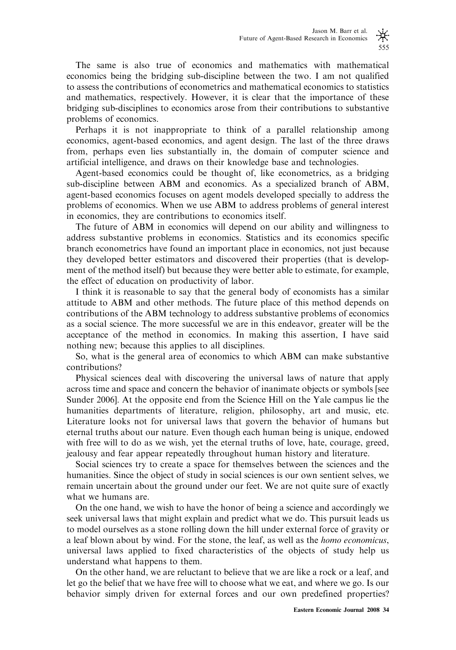The same is also true of economics and mathematics with mathematical economics being the bridging sub-discipline between the two. I am not qualified to assess the contributions of econometrics and mathematical economics to statistics and mathematics, respectively. However, it is clear that the importance of these bridging sub-disciplines to economics arose from their contributions to substantive problems of economics.

Perhaps it is not inappropriate to think of a parallel relationship among economics, agent-based economics, and agent design. The last of the three draws from, perhaps even lies substantially in, the domain of computer science and artificial intelligence, and draws on their knowledge base and technologies.

Agent-based economics could be thought of, like econometrics, as a bridging sub-discipline between ABM and economics. As a specialized branch of ABM, agent-based economics focuses on agent models developed specially to address the problems of economics. When we use ABM to address problems of general interest in economics, they are contributions to economics itself.

The future of ABM in economics will depend on our ability and willingness to address substantive problems in economics. Statistics and its economics specific branch econometrics have found an important place in economics, not just because they developed better estimators and discovered their properties (that is development of the method itself) but because they were better able to estimate, for example, the effect of education on productivity of labor.

I think it is reasonable to say that the general body of economists has a similar attitude to ABM and other methods. The future place of this method depends on contributions of the ABM technology to address substantive problems of economics as a social science. The more successful we are in this endeavor, greater will be the acceptance of the method in economics. In making this assertion, I have said nothing new; because this applies to all disciplines.

So, what is the general area of economics to which ABM can make substantive contributions?

Physical sciences deal with discovering the universal laws of nature that apply across time and space and concern the behavior of inanimate objects or symbols [see Sunder 2006]. At the opposite end from the Science Hill on the Yale campus lie the humanities departments of literature, religion, philosophy, art and music, etc. Literature looks not for universal laws that govern the behavior of humans but eternal truths about our nature. Even though each human being is unique, endowed with free will to do as we wish, yet the eternal truths of love, hate, courage, greed, jealousy and fear appear repeatedly throughout human history and literature.

Social sciences try to create a space for themselves between the sciences and the humanities. Since the object of study in social sciences is our own sentient selves, we remain uncertain about the ground under our feet. We are not quite sure of exactly what we humans are.

On the one hand, we wish to have the honor of being a science and accordingly we seek universal laws that might explain and predict what we do. This pursuit leads us to model ourselves as a stone rolling down the hill under external force of gravity or a leaf blown about by wind. For the stone, the leaf, as well as the homo economicus, universal laws applied to fixed characteristics of the objects of study help us understand what happens to them.

On the other hand, we are reluctant to believe that we are like a rock or a leaf, and let go the belief that we have free will to choose what we eat, and where we go. Is our behavior simply driven for external forces and our own predefined properties?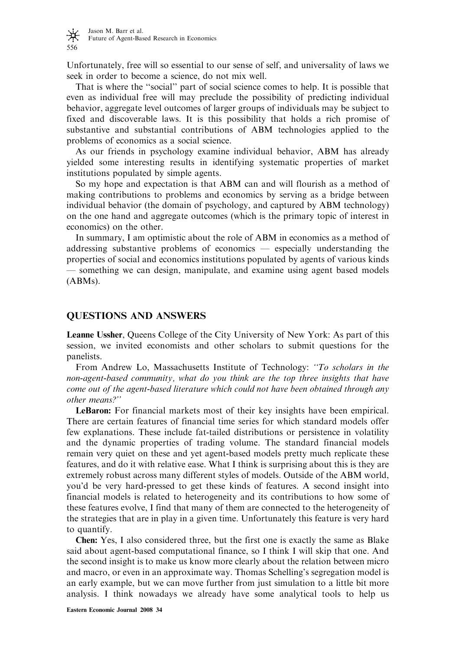Unfortunately, free will so essential to our sense of self, and universality of laws we seek in order to become a science, do not mix well.

That is where the ''social'' part of social science comes to help. It is possible that even as individual free will may preclude the possibility of predicting individual behavior, aggregate level outcomes of larger groups of individuals may be subject to fixed and discoverable laws. It is this possibility that holds a rich promise of substantive and substantial contributions of ABM technologies applied to the problems of economics as a social science.

As our friends in psychology examine individual behavior, ABM has already yielded some interesting results in identifying systematic properties of market institutions populated by simple agents.

So my hope and expectation is that ABM can and will flourish as a method of making contributions to problems and economics by serving as a bridge between individual behavior (the domain of psychology, and captured by ABM technology) on the one hand and aggregate outcomes (which is the primary topic of interest in economics) on the other.

In summary, I am optimistic about the role of ABM in economics as a method of addressing substantive problems of economics — especially understanding the properties of social and economics institutions populated by agents of various kinds — something we can design, manipulate, and examine using agent based models (ABMs).

## QUESTIONS AND ANSWERS

Leanne Ussher, Queens College of the City University of New York: As part of this session, we invited economists and other scholars to submit questions for the panelists.

From Andrew Lo, Massachusetts Institute of Technology: ''To scholars in the non-agent-based community, what do you think are the top three insights that have come out of the agent-based literature which could not have been obtained through any other means?''

LeBaron: For financial markets most of their key insights have been empirical. There are certain features of financial time series for which standard models offer few explanations. These include fat-tailed distributions or persistence in volatility and the dynamic properties of trading volume. The standard financial models remain very quiet on these and yet agent-based models pretty much replicate these features, and do it with relative ease. What I think is surprising about this is they are extremely robust across many different styles of models. Outside of the ABM world, you'd be very hard-pressed to get these kinds of features. A second insight into financial models is related to heterogeneity and its contributions to how some of these features evolve, I find that many of them are connected to the heterogeneity of the strategies that are in play in a given time. Unfortunately this feature is very hard to quantify.

Chen: Yes, I also considered three, but the first one is exactly the same as Blake said about agent-based computational finance, so I think I will skip that one. And the second insight is to make us know more clearly about the relation between micro and macro, or even in an approximate way. Thomas Schelling's segregation model is an early example, but we can move further from just simulation to a little bit more analysis. I think nowadays we already have some analytical tools to help us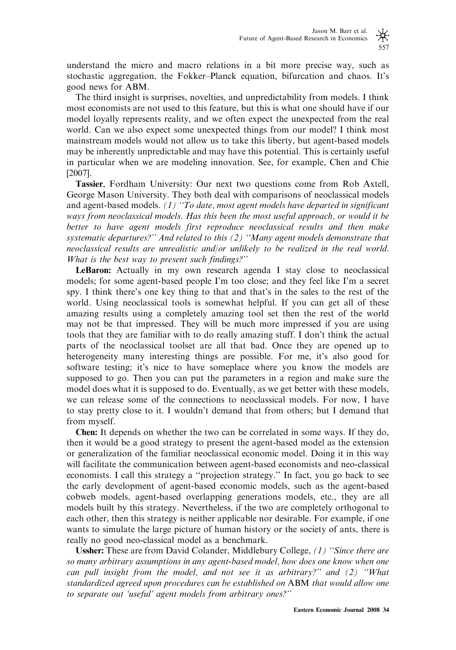understand the micro and macro relations in a bit more precise way, such as stochastic aggregation, the Fokker–Planck equation, bifurcation and chaos. It's good news for ABM.

The third insight is surprises, novelties, and unpredictability from models. I think most economists are not used to this feature, but this is what one should have if our model loyally represents reality, and we often expect the unexpected from the real world. Can we also expect some unexpected things from our model? I think most mainstream models would not allow us to take this liberty, but agent-based models may be inherently unpredictable and may have this potential. This is certainly useful in particular when we are modeling innovation. See, for example, Chen and Chie [2007].

Tassier, Fordham University: Our next two questions come from Rob Axtell, George Mason University. They both deal with comparisons of neoclassical models and agent-based models. (1) "To date, most agent models have departed in significant ways from neoclassical models. Has this been the most useful approach, or would it be better to have agent models first reproduce neoclassical results and then make systematic departures?'' And related to this (2) ''Many agent models demonstrate that neoclassical results are unrealistic and/or unlikely to be realized in the real world. What is the best way to present such findings?"

LeBaron: Actually in my own research agenda I stay close to neoclassical models; for some agent-based people I'm too close; and they feel like I'm a secret spy. I think there's one key thing to that and that's in the sales to the rest of the world. Using neoclassical tools is somewhat helpful. If you can get all of these amazing results using a completely amazing tool set then the rest of the world may not be that impressed. They will be much more impressed if you are using tools that they are familiar with to do really amazing stuff. I don't think the actual parts of the neoclassical toolset are all that bad. Once they are opened up to heterogeneity many interesting things are possible. For me, it's also good for software testing; it's nice to have someplace where you know the models are supposed to go. Then you can put the parameters in a region and make sure the model does what it is supposed to do. Eventually, as we get better with these models, we can release some of the connections to neoclassical models. For now, I have to stay pretty close to it. I wouldn't demand that from others; but I demand that from myself.

Chen: It depends on whether the two can be correlated in some ways. If they do, then it would be a good strategy to present the agent-based model as the extension or generalization of the familiar neoclassical economic model. Doing it in this way will facilitate the communication between agent-based economists and neo-classical economists. I call this strategy a ''projection strategy.'' In fact, you go back to see the early development of agent-based economic models, such as the agent-based cobweb models, agent-based overlapping generations models, etc., they are all models built by this strategy. Nevertheless, if the two are completely orthogonal to each other, then this strategy is neither applicable nor desirable. For example, if one wants to simulate the large picture of human history or the society of ants, there is really no good neo-classical model as a benchmark.

Ussher: These are from David Colander, Middlebury College, (1) "Since there are so many arbitrary assumptions in any agent-based model, how does one know when one can pull insight from the model, and not see it as arbitrary?'' and (2) ''What standardized agreed upon procedures can be established on ABM that would allow one to separate out 'useful' agent models from arbitrary ones?''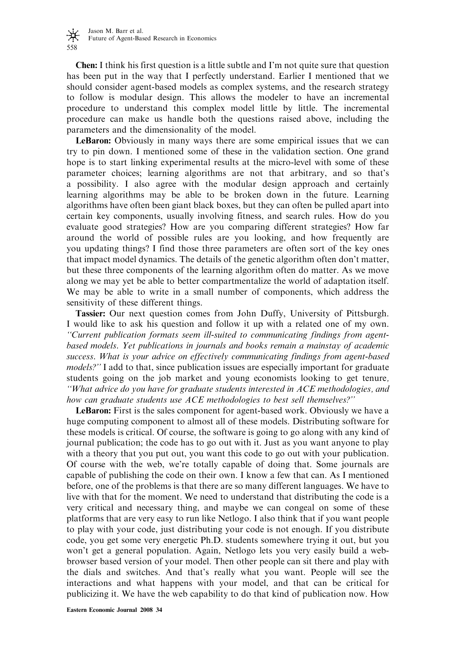Chen: I think his first question is a little subtle and I'm not quite sure that question has been put in the way that I perfectly understand. Earlier I mentioned that we should consider agent-based models as complex systems, and the research strategy to follow is modular design. This allows the modeler to have an incremental procedure to understand this complex model little by little. The incremental procedure can make us handle both the questions raised above, including the parameters and the dimensionality of the model.

LeBaron: Obviously in many ways there are some empirical issues that we can try to pin down. I mentioned some of these in the validation section. One grand hope is to start linking experimental results at the micro-level with some of these parameter choices; learning algorithms are not that arbitrary, and so that's a possibility. I also agree with the modular design approach and certainly learning algorithms may be able to be broken down in the future. Learning algorithms have often been giant black boxes, but they can often be pulled apart into certain key components, usually involving fitness, and search rules. How do you evaluate good strategies? How are you comparing different strategies? How far around the world of possible rules are you looking, and how frequently are you updating things? I find those three parameters are often sort of the key ones that impact model dynamics. The details of the genetic algorithm often don't matter, but these three components of the learning algorithm often do matter. As we move along we may yet be able to better compartmentalize the world of adaptation itself. We may be able to write in a small number of components, which address the sensitivity of these different things.

Tassier: Our next question comes from John Duffy, University of Pittsburgh. I would like to ask his question and follow it up with a related one of my own. ''Current publication formats seem ill-suited to communicating findings from agentbased models. Yet publications in journals and books remain a mainstay of academic success. What is your advice on effectively communicating findings from agent-based models?" I add to that, since publication issues are especially important for graduate students going on the job market and young economists looking to get tenure, ''What advice do you have for graduate students interested in ACE methodologies, and how can graduate students use ACE methodologies to best sell themselves?"

LeBaron: First is the sales component for agent-based work. Obviously we have a huge computing component to almost all of these models. Distributing software for these models is critical. Of course, the software is going to go along with any kind of journal publication; the code has to go out with it. Just as you want anyone to play with a theory that you put out, you want this code to go out with your publication. Of course with the web, we're totally capable of doing that. Some journals are capable of publishing the code on their own. I know a few that can. As I mentioned before, one of the problems is that there are so many different languages. We have to live with that for the moment. We need to understand that distributing the code is a very critical and necessary thing, and maybe we can congeal on some of these platforms that are very easy to run like Netlogo. I also think that if you want people to play with your code, just distributing your code is not enough. If you distribute code, you get some very energetic Ph.D. students somewhere trying it out, but you won't get a general population. Again, Netlogo lets you very easily build a webbrowser based version of your model. Then other people can sit there and play with the dials and switches. And that's really what you want. People will see the interactions and what happens with your model, and that can be critical for publicizing it. We have the web capability to do that kind of publication now. How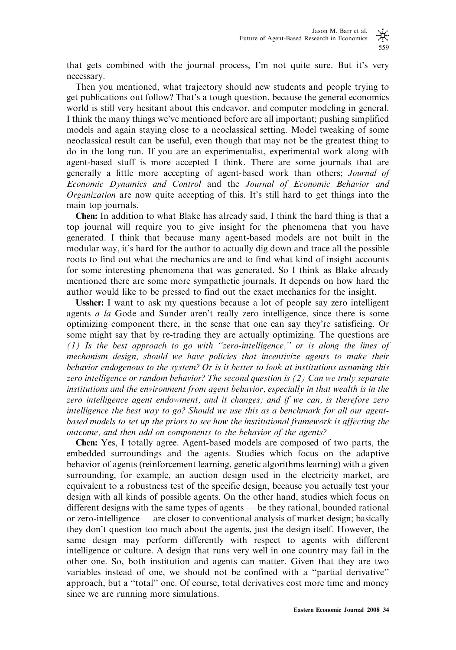that gets combined with the journal process, I'm not quite sure. But it's very necessary.

Then you mentioned, what trajectory should new students and people trying to get publications out follow? That's a tough question, because the general economics world is still very hesitant about this endeavor, and computer modeling in general. I think the many things we've mentioned before are all important; pushing simplified models and again staying close to a neoclassical setting. Model tweaking of some neoclassical result can be useful, even though that may not be the greatest thing to do in the long run. If you are an experimentalist, experimental work along with agent-based stuff is more accepted I think. There are some journals that are generally a little more accepting of agent-based work than others; Journal of Economic Dynamics and Control and the Journal of Economic Behavior and Organization are now quite accepting of this. It's still hard to get things into the main top journals.

Chen: In addition to what Blake has already said, I think the hard thing is that a top journal will require you to give insight for the phenomena that you have generated. I think that because many agent-based models are not built in the modular way, it's hard for the author to actually dig down and trace all the possible roots to find out what the mechanics are and to find what kind of insight accounts for some interesting phenomena that was generated. So I think as Blake already mentioned there are some more sympathetic journals. It depends on how hard the author would like to be pressed to find out the exact mechanics for the insight.

Ussher: I want to ask my questions because a lot of people say zero intelligent agents a la Gode and Sunder aren't really zero intelligence, since there is some optimizing component there, in the sense that one can say they're satisficing. Or some might say that by re-trading they are actually optimizing. The questions are (1) Is the best approach to go with ''zero-intelligence,'' or is along the lines of mechanism design, should we have policies that incentivize agents to make their behavior endogenous to the system? Or is it better to look at institutions assuming this zero intelligence or random behavior? The second question is (2) Can we truly separate institutions and the environment from agent behavior, especially in that wealth is in the zero intelligence agent endowment, and it changes; and if we can, is therefore zero intelligence the best way to go? Should we use this as a benchmark for all our agentbased models to set up the priors to see how the institutional framework is affecting the outcome, and then add on components to the behavior of the agents?

Chen: Yes, I totally agree. Agent-based models are composed of two parts, the embedded surroundings and the agents. Studies which focus on the adaptive behavior of agents (reinforcement learning, genetic algorithms learning) with a given surrounding, for example, an auction design used in the electricity market, are equivalent to a robustness test of the specific design, because you actually test your design with all kinds of possible agents. On the other hand, studies which focus on different designs with the same types of agents — be they rational, bounded rational or zero-intelligence — are closer to conventional analysis of market design; basically they don't question too much about the agents, just the design itself. However, the same design may perform differently with respect to agents with different intelligence or culture. A design that runs very well in one country may fail in the other one. So, both institution and agents can matter. Given that they are two variables instead of one, we should not be confined with a ''partial derivative'' approach, but a ''total'' one. Of course, total derivatives cost more time and money since we are running more simulations.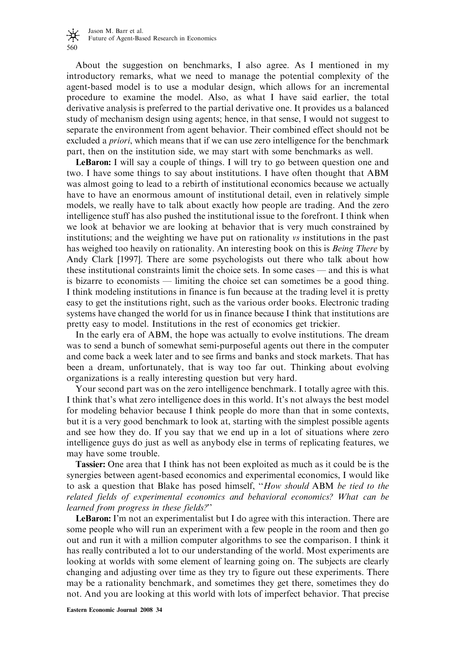About the suggestion on benchmarks, I also agree. As I mentioned in my introductory remarks, what we need to manage the potential complexity of the agent-based model is to use a modular design, which allows for an incremental procedure to examine the model. Also, as what I have said earlier, the total derivative analysis is preferred to the partial derivative one. It provides us a balanced study of mechanism design using agents; hence, in that sense, I would not suggest to separate the environment from agent behavior. Their combined effect should not be excluded a *priori*, which means that if we can use zero intelligence for the benchmark part, then on the institution side, we may start with some benchmarks as well.

**LeBaron:** I will say a couple of things. I will try to go between question one and two. I have some things to say about institutions. I have often thought that ABM was almost going to lead to a rebirth of institutional economics because we actually have to have an enormous amount of institutional detail, even in relatively simple models, we really have to talk about exactly how people are trading. And the zero intelligence stuff has also pushed the institutional issue to the forefront. I think when we look at behavior we are looking at behavior that is very much constrained by institutions; and the weighting we have put on rationality vs institutions in the past has weighed too heavily on rationality. An interesting book on this is *Being There* by Andy Clark [1997]. There are some psychologists out there who talk about how these institutional constraints limit the choice sets. In some cases — and this is what is bizarre to economists — limiting the choice set can sometimes be a good thing. I think modeling institutions in finance is fun because at the trading level it is pretty easy to get the institutions right, such as the various order books. Electronic trading systems have changed the world for us in finance because I think that institutions are pretty easy to model. Institutions in the rest of economics get trickier.

In the early era of ABM, the hope was actually to evolve institutions. The dream was to send a bunch of somewhat semi-purposeful agents out there in the computer and come back a week later and to see firms and banks and stock markets. That has been a dream, unfortunately, that is way too far out. Thinking about evolving organizations is a really interesting question but very hard.

Your second part was on the zero intelligence benchmark. I totally agree with this. I think that's what zero intelligence does in this world. It's not always the best model for modeling behavior because I think people do more than that in some contexts, but it is a very good benchmark to look at, starting with the simplest possible agents and see how they do. If you say that we end up in a lot of situations where zero intelligence guys do just as well as anybody else in terms of replicating features, we may have some trouble.

Tassier: One area that I think has not been exploited as much as it could be is the synergies between agent-based economics and experimental economics, I would like to ask a question that Blake has posed himself, ''How should ABM be tied to the related fields of experimental economics and behavioral economics? What can be learned from progress in these fields?''

LeBaron: I'm not an experimentalist but I do agree with this interaction. There are some people who will run an experiment with a few people in the room and then go out and run it with a million computer algorithms to see the comparison. I think it has really contributed a lot to our understanding of the world. Most experiments are looking at worlds with some element of learning going on. The subjects are clearly changing and adjusting over time as they try to figure out these experiments. There may be a rationality benchmark, and sometimes they get there, sometimes they do not. And you are looking at this world with lots of imperfect behavior. That precise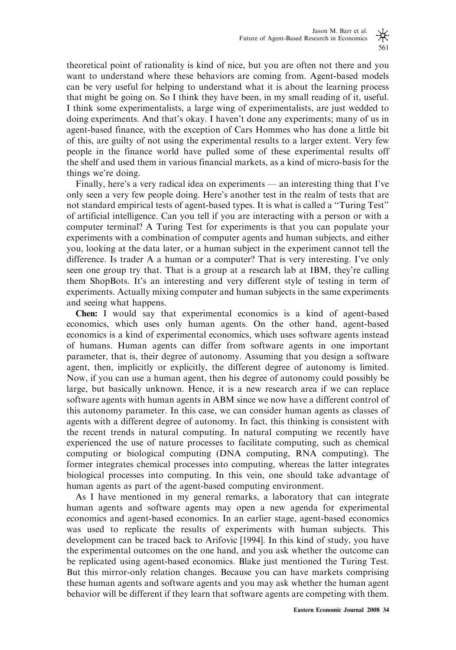theoretical point of rationality is kind of nice, but you are often not there and you want to understand where these behaviors are coming from. Agent-based models can be very useful for helping to understand what it is about the learning process that might be going on. So I think they have been, in my small reading of it, useful. I think some experimentalists, a large wing of experimentalists, are just wedded to doing experiments. And that's okay. I haven't done any experiments; many of us in agent-based finance, with the exception of Cars Hommes who has done a little bit of this, are guilty of not using the experimental results to a larger extent. Very few people in the finance world have pulled some of these experimental results off the shelf and used them in various financial markets, as a kind of micro-basis for the things we're doing.

Finally, here's a very radical idea on experiments — an interesting thing that I've only seen a very few people doing. Here's another test in the realm of tests that are not standard empirical tests of agent-based types. It is what is called a ''Turing Test'' of artificial intelligence. Can you tell if you are interacting with a person or with a computer terminal? A Turing Test for experiments is that you can populate your experiments with a combination of computer agents and human subjects, and either you, looking at the data later, or a human subject in the experiment cannot tell the difference. Is trader A a human or a computer? That is very interesting. I've only seen one group try that. That is a group at a research lab at IBM, they're calling them ShopBots. It's an interesting and very different style of testing in term of experiments. Actually mixing computer and human subjects in the same experiments and seeing what happens.

Chen: I would say that experimental economics is a kind of agent-based economics, which uses only human agents. On the other hand, agent-based economics is a kind of experimental economics, which uses software agents instead of humans. Human agents can differ from software agents in one important parameter, that is, their degree of autonomy. Assuming that you design a software agent, then, implicitly or explicitly, the different degree of autonomy is limited. Now, if you can use a human agent, then his degree of autonomy could possibly be large, but basically unknown. Hence, it is a new research area if we can replace software agents with human agents in ABM since we now have a different control of this autonomy parameter. In this case, we can consider human agents as classes of agents with a different degree of autonomy. In fact, this thinking is consistent with the recent trends in natural computing. In natural computing we recently have experienced the use of nature processes to facilitate computing, such as chemical computing or biological computing (DNA computing, RNA computing). The former integrates chemical processes into computing, whereas the latter integrates biological processes into computing. In this vein, one should take advantage of human agents as part of the agent-based computing environment.

As I have mentioned in my general remarks, a laboratory that can integrate human agents and software agents may open a new agenda for experimental economics and agent-based economics. In an earlier stage, agent-based economics was used to replicate the results of experiments with human subjects. This development can be traced back to Arifovic [1994]. In this kind of study, you have the experimental outcomes on the one hand, and you ask whether the outcome can be replicated using agent-based economics. Blake just mentioned the Turing Test. But this mirror-only relation changes. Because you can have markets comprising these human agents and software agents and you may ask whether the human agent behavior will be different if they learn that software agents are competing with them.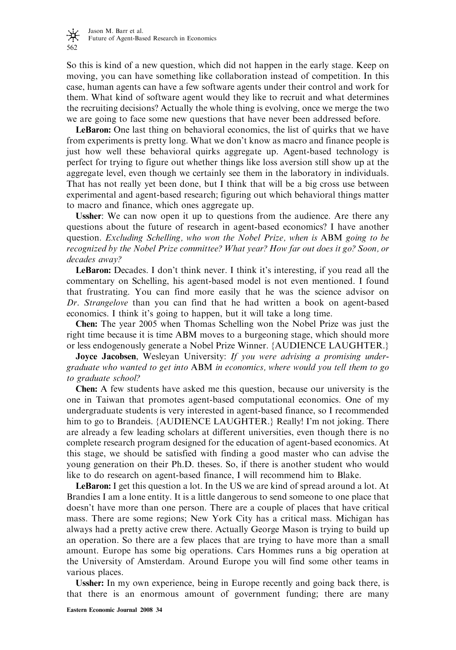

So this is kind of a new question, which did not happen in the early stage. Keep on moving, you can have something like collaboration instead of competition. In this case, human agents can have a few software agents under their control and work for them. What kind of software agent would they like to recruit and what determines the recruiting decisions? Actually the whole thing is evolving, once we merge the two we are going to face some new questions that have never been addressed before.

LeBaron: One last thing on behavioral economics, the list of quirks that we have from experiments is pretty long. What we don't know as macro and finance people is just how well these behavioral quirks aggregate up. Agent-based technology is perfect for trying to figure out whether things like loss aversion still show up at the aggregate level, even though we certainly see them in the laboratory in individuals. That has not really yet been done, but I think that will be a big cross use between experimental and agent-based research; figuring out which behavioral things matter to macro and finance, which ones aggregate up.

Ussher: We can now open it up to questions from the audience. Are there any questions about the future of research in agent-based economics? I have another question. Excluding Schelling, who won the Nobel Prize, when is ABM going to be recognized by the Nobel Prize committee? What year? How far out does it go? Soon, or decades away?

LeBaron: Decades. I don't think never. I think it's interesting, if you read all the commentary on Schelling, his agent-based model is not even mentioned. I found that frustrating. You can find more easily that he was the science advisor on Dr. Strangelove than you can find that he had written a book on agent-based economics. I think it's going to happen, but it will take a long time.

Chen: The year 2005 when Thomas Schelling won the Nobel Prize was just the right time because it is time ABM moves to a burgeoning stage, which should more or less endogenously generate a Nobel Prize Winner. {AUDIENCE LAUGHTER.}

Joyce Jacobsen, Wesleyan University: If you were advising a promising undergraduate who wanted to get into ABM in economics, where would you tell them to go to graduate school?

Chen: A few students have asked me this question, because our university is the one in Taiwan that promotes agent-based computational economics. One of my undergraduate students is very interested in agent-based finance, so I recommended him to go to Brandeis. {AUDIENCE LAUGHTER.} Really! I'm not joking. There are already a few leading scholars at different universities, even though there is no complete research program designed for the education of agent-based economics. At this stage, we should be satisfied with finding a good master who can advise the young generation on their Ph.D. theses. So, if there is another student who would like to do research on agent-based finance, I will recommend him to Blake.

LeBaron: I get this question a lot. In the US we are kind of spread around a lot. At Brandies I am a lone entity. It is a little dangerous to send someone to one place that doesn't have more than one person. There are a couple of places that have critical mass. There are some regions; New York City has a critical mass. Michigan has always had a pretty active crew there. Actually George Mason is trying to build up an operation. So there are a few places that are trying to have more than a small amount. Europe has some big operations. Cars Hommes runs a big operation at the University of Amsterdam. Around Europe you will find some other teams in various places.

Ussher: In my own experience, being in Europe recently and going back there, is that there is an enormous amount of government funding; there are many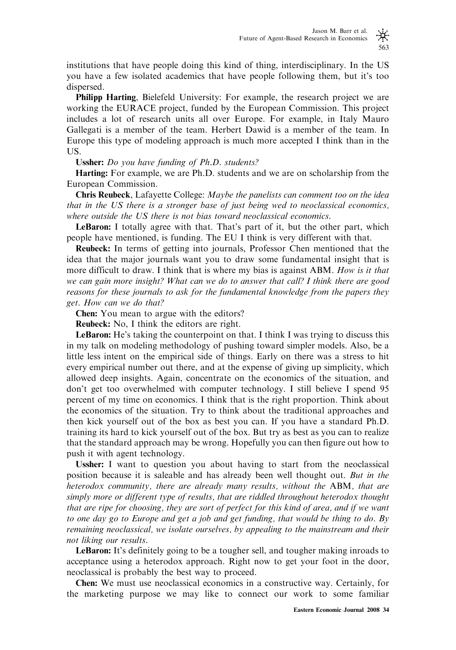institutions that have people doing this kind of thing, interdisciplinary. In the US you have a few isolated academics that have people following them, but it's too dispersed.

Philipp Harting, Bielefeld University: For example, the research project we are working the EURACE project, funded by the European Commission. This project includes a lot of research units all over Europe. For example, in Italy Mauro Gallegati is a member of the team. Herbert Dawid is a member of the team. In Europe this type of modeling approach is much more accepted I think than in the US.

Ussher: Do you have funding of Ph.D. students?

Harting: For example, we are Ph.D. students and we are on scholarship from the European Commission.

**Chris Reubeck**, Lafayette College: Maybe the panelists can comment too on the idea that in the US there is a stronger base of just being wed to neoclassical economics, where outside the US there is not bias toward neoclassical economics.

LeBaron: I totally agree with that. That's part of it, but the other part, which people have mentioned, is funding. The EU I think is very different with that.

Reubeck: In terms of getting into journals, Professor Chen mentioned that the idea that the major journals want you to draw some fundamental insight that is more difficult to draw. I think that is where my bias is against ABM. How is it that we can gain more insight? What can we do to answer that call? I think there are good reasons for these journals to ask for the fundamental knowledge from the papers they get. How can we do that?

Chen: You mean to argue with the editors?

Reubeck: No, I think the editors are right.

LeBaron: He's taking the counterpoint on that. I think I was trying to discuss this in my talk on modeling methodology of pushing toward simpler models. Also, be a little less intent on the empirical side of things. Early on there was a stress to hit every empirical number out there, and at the expense of giving up simplicity, which allowed deep insights. Again, concentrate on the economics of the situation, and don't get too overwhelmed with computer technology. I still believe I spend 95 percent of my time on economics. I think that is the right proportion. Think about the economics of the situation. Try to think about the traditional approaches and then kick yourself out of the box as best you can. If you have a standard Ph.D. training its hard to kick yourself out of the box. But try as best as you can to realize that the standard approach may be wrong. Hopefully you can then figure out how to push it with agent technology.

Ussher: I want to question you about having to start from the neoclassical position because it is saleable and has already been well thought out. But in the heterodox community, there are already many results, without the ABM, that are simply more or different type of results, that are riddled throughout heterodox thought that are ripe for choosing, they are sort of perfect for this kind of area, and if we want to one day go to Europe and get a job and get funding, that would be thing to do. By remaining neoclassical, we isolate ourselves, by appealing to the mainstream and their not liking our results.

LeBaron: It's definitely going to be a tougher sell, and tougher making inroads to acceptance using a heterodox approach. Right now to get your foot in the door, neoclassical is probably the best way to proceed.

Chen: We must use neoclassical economics in a constructive way. Certainly, for the marketing purpose we may like to connect our work to some familiar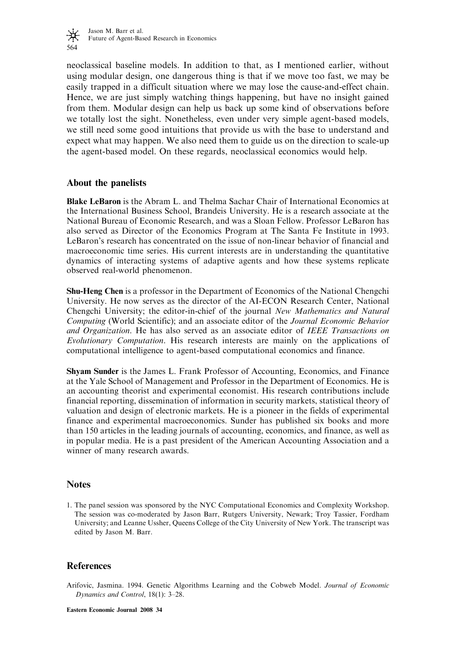

neoclassical baseline models. In addition to that, as I mentioned earlier, without using modular design, one dangerous thing is that if we move too fast, we may be easily trapped in a difficult situation where we may lose the cause-and-effect chain. Hence, we are just simply watching things happening, but have no insight gained from them. Modular design can help us back up some kind of observations before we totally lost the sight. Nonetheless, even under very simple agent-based models, we still need some good intuitions that provide us with the base to understand and expect what may happen. We also need them to guide us on the direction to scale-up the agent-based model. On these regards, neoclassical economics would help.

#### About the panelists

Blake LeBaron is the Abram L. and Thelma Sachar Chair of International Economics at the International Business School, Brandeis University. He is a research associate at the National Bureau of Economic Research, and was a Sloan Fellow. Professor LeBaron has also served as Director of the Economics Program at The Santa Fe Institute in 1993. LeBaron's research has concentrated on the issue of non-linear behavior of financial and macroeconomic time series. His current interests are in understanding the quantitative dynamics of interacting systems of adaptive agents and how these systems replicate observed real-world phenomenon.

Shu-Heng Chen is a professor in the Department of Economics of the National Chengchi University. He now serves as the director of the AI-ECON Research Center, National Chengchi University; the editor-in-chief of the journal New Mathematics and Natural Computing (World Scientific); and an associate editor of the Journal Economic Behavior and Organization. He has also served as an associate editor of IEEE Transactions on Evolutionary Computation. His research interests are mainly on the applications of computational intelligence to agent-based computational economics and finance.

Shyam Sunder is the James L. Frank Professor of Accounting, Economics, and Finance at the Yale School of Management and Professor in the Department of Economics. He is an accounting theorist and experimental economist. His research contributions include financial reporting, dissemination of information in security markets, statistical theory of valuation and design of electronic markets. He is a pioneer in the fields of experimental finance and experimental macroeconomics. Sunder has published six books and more than 150 articles in the leading journals of accounting, economics, and finance, as well as in popular media. He is a past president of the American Accounting Association and a winner of many research awards.

#### **Notes**

1. The panel session was sponsored by the NYC Computational Economics and Complexity Workshop. The session was co-moderated by Jason Barr, Rutgers University, Newark; Troy Tassier, Fordham University; and Leanne Ussher, Queens College of the City University of New York. The transcript was edited by Jason M. Barr.

## **References**

Arifovic, Jasmina. 1994. Genetic Algorithms Learning and the Cobweb Model. Journal of Economic Dynamics and Control, 18(1): 3–28.